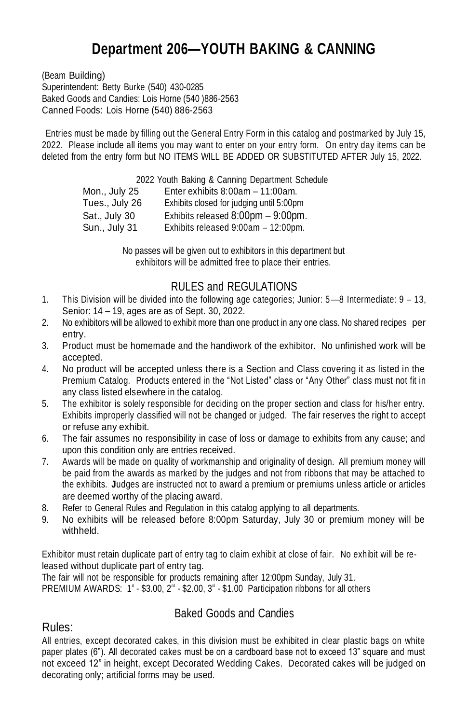# **Department 206—YOUTH BAKING & CANNING**

(Beam Building) Superintendent: Betty Burke (540) 430-0285 Baked Goods and Candies: Lois Horne (540 )886-2563 Canned Foods: Lois Horne (540) 886-2563

Entries must be made by filling out the General Entry Form in this catalog and postmarked by July 15, 2022. Please include all items you may want to enter on your entry form. On entry day items can be deleted from the entry form but NO ITEMS WILL BE ADDED OR SUBSTITUTED AFTER July 15, 2022.

2022 Youth Baking & Canning Department Schedule

| Mon., July 25  | Enter exhibits $8:00am - 11:00am$ .      |
|----------------|------------------------------------------|
| Tues., July 26 | Exhibits closed for judging until 5:00pm |
| Sat., July 30  | Exhibits released 8:00pm - 9:00pm.       |
| Sun., July 31  | Exhibits released 9:00am - 12:00pm.      |

No passes will be given out to exhibitors in this department but exhibitors will be admitted free to place their entries.

## RULES and REGULATIONS

- 1. This Division will be divided into the following age categories; Junior: 5—8 Intermediate: 9 13, Senior: 14 – 19, ages are as of Sept. 30, 2022.
- 2. No exhibitors will be allowed to exhibit more than one product in any one class. No shared recipes per entry.
- 3. Product must be homemade and the handiwork of the exhibitor. No unfinished work will be accepted.
- 4. No product will be accepted unless there is a Section and Class covering it as listed in the Premium Catalog. Products entered in the "Not Listed" class or "Any Other" class must not fit in any class listed elsewhere in the catalog.
- 5. The exhibitor is solely responsible for deciding on the proper section and class for his/her entry. Exhibits improperly classified will not be changed or judged. The fair reserves the right to accept or refuse any exhibit.
- 6. The fair assumes no responsibility in case of loss or damage to exhibits from any cause; and upon this condition only are entries received.
- 7. Awards will be made on quality of workmanship and originality of design. All premium money will be paid from the awards as marked by the judges and not from ribbons that may be attached to the exhibits. **J**udges are instructed not to award a premium or premiums unless article or articles are deemed worthy of the placing award.
- 8. Refer to General Rules and Regulation in this catalog applying to all departments.
- 9. No exhibits will be released before 8:00pm Saturday, July 30 or premium money will be withheld.

Exhibitor must retain duplicate part of entry tag to claim exhibit at close of fair. No exhibit will be released without duplicate part of entry tag.

The fair will not be responsible for products remaining after 12:00pm Sunday, July 31. PREMIUM AWARDS:  $1^*$  - \$3.00,  $2^{\omega}$  - \$2.00,  $3^{\omega}$  - \$1.00 Participation ribbons for all others

## Baked Goods and Candies

## Rules:

All entries, except decorated cakes, in this division must be exhibited in clear plastic bags on white paper plates (6"). All decorated cakes must be on a cardboard base not to exceed 13" square and must not exceed 12" in height, except Decorated Wedding Cakes. Decorated cakes will be judged on decorating only; artificial forms may be used.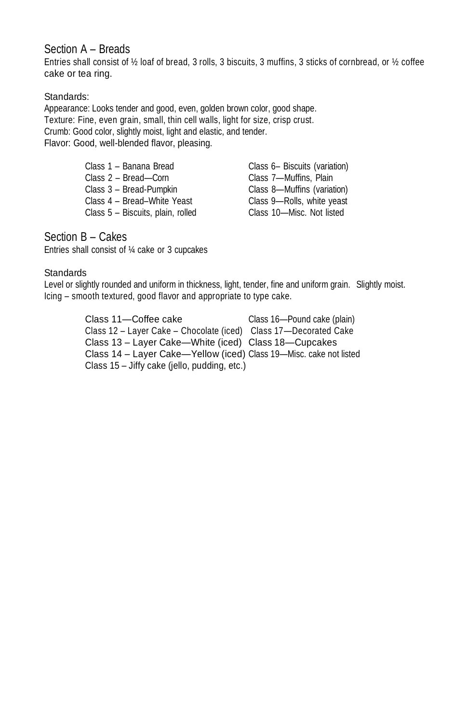#### Section A – Breads

Entries shall consist of ½ loaf of bread, 3 rolls, 3 biscuits, 3 muffins, 3 sticks of cornbread, or ½ coffee cake or tea ring.

#### Standards:

Appearance: Looks tender and good, even, golden brown color, good shape. Texture: Fine, even grain, small, thin cell walls, light for size, crisp crust. Crumb: Good color, slightly moist, light and elastic, and tender. Flavor: Good, well-blended flavor, pleasing.

| Class 1 - Banana Bread            | Class 6– Biscuits (variation) |
|-----------------------------------|-------------------------------|
| Class 2 - Bread-Corn              | Class 7-Muffins, Plain        |
| Class 3 - Bread-Pumpkin           | Class 8-Muffins (variation)   |
| Class 4 - Bread-White Yeast       | Class 9-Rolls, white yeast    |
| Class 5 - Biscuits, plain, rolled | Class 10-Misc. Not listed     |

#### Section B – Cakes

Entries shall consist of ¼ cake or 3 cupcakes

#### **Standards**

Level or slightly rounded and uniform in thickness, light, tender, fine and uniform grain. Slightly moist. Icing – smooth textured, good flavor and appropriate to type cake.

> Class 11—Coffee cake Class 16—Pound cake (plain) Class 12 – Layer Cake – Chocolate (iced) Class 17—Decorated Cake Class 13 – Layer Cake—White (iced) Class 18—Cupcakes Class 14 – Layer Cake—Yellow (iced) Class 19—Misc. cake not listed Class 15 – Jiffy cake (jello, pudding, etc.)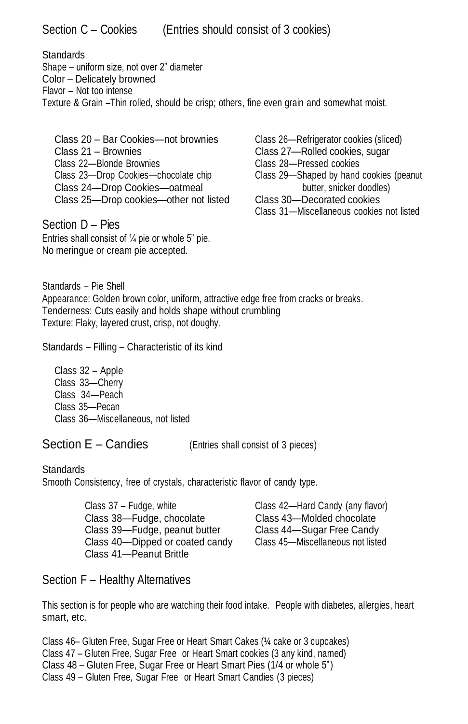Section C – Cookies (Entries should consist of 3 cookies)

**Standards** 

Shape – uniform size, not over 2" diameter Color – Delicately browned Flavor – Not too intense Texture & Grain –Thin rolled, should be crisp; others, fine even grain and somewhat moist.

Class 20 – Bar Cookies—not brownies Class 26—Refrigerator cookies (sliced) Class 21 – Brownies Class 27—Rolled cookies, sugar Class 22—Blonde Brownies Class 28—Pressed cookies Class 23—Drop Cookies—chocolate chip Class 29—Shaped by hand cookies (peanut Class 24—Drop Cookies—oatmeal butter, snicker doodles)<br>Class 25—Drop cookies—other not listed Class 30—Decorated cookies Class 25—Drop cookies—other not listed

Section D - Pies Entries shall consist of  $\frac{1}{4}$  pie or whole 5" pie. No meringue or cream pie accepted.

Class 31—Miscellaneous cookies not listed

Standards – Pie Shell Appearance: Golden brown color, uniform, attractive edge free from cracks or breaks. Tenderness: Cuts easily and holds shape without crumbling Texture: Flaky, layered crust, crisp, not doughy.

Standards – Filling – Characteristic of its kind

Class 32 – Apple Class 33—Cherry Class 34—Peach Class 35—Pecan Class 36—Miscellaneous, not listed

Section E – Candies (Entries shall consist of 3 pieces)

#### **Standards**

Smooth Consistency, free of crystals, characteristic flavor of candy type.

Class 37 – Fudge, white Class 42—Hard Candy (any flavor) Class 38—Fudge, chocolate Class 43—Molded chocolate<br>Class 39—Fudge, peanut butter Class 44—Sugar Free Candy Class 39—Fudge, peanut butter Class 40—Dipped or coated candy Class 45—Miscellaneous not listed Class 41—Peanut Brittle

## Section F – Healthy Alternatives

This section is for people who are watching their food intake. People with diabetes, allergies, heart smart, etc.

Class 46– Gluten Free, Sugar Free or Heart Smart Cakes (¼ cake or 3 cupcakes) Class 47 – Gluten Free, Sugar Free or Heart Smart cookies (3 any kind, named) Class 48 – Gluten Free, Sugar Free or Heart Smart Pies (1/4 or whole 5") Class 49 – Gluten Free, Sugar Free or Heart Smart Candies (3 pieces)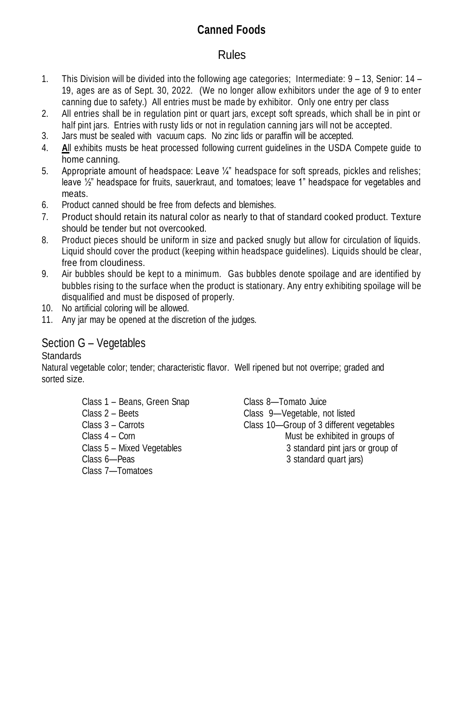# **Canned Foods**

## Rules

- 1. This Division will be divided into the following age categories; Intermediate: 9 13, Senior: 14 19, ages are as of Sept. 30, 2022. (We no longer allow exhibitors under the age of 9 to enter canning due to safety.) All entries must be made by exhibitor. Only one entry per class
- 2. All entries shall be in regulation pint or quart jars, except soft spreads, which shall be in pint or half pint jars. Entries with rusty lids or not in regulation canning jars will not be accepted.
- 3. Jars must be sealed with vacuum caps. No zinc lids or paraffin will be accepted.
- 4. **A**ll exhibits musts be heat processed following current guidelines in the USDA Compete guide to home canning.
- 5. Appropriate amount of headspace: Leave ¼" headspace for soft spreads, pickles and relishes; leave  $\frac{1}{2}$ " headspace for fruits, sauerkraut, and tomatoes; leave 1" headspace for vegetables and meats.
- 6. Product canned should be free from defects and blemishes.
- 7. Product should retain its natural color as nearly to that of standard cooked product. Texture should be tender but not overcooked.
- 8. Product pieces should be uniform in size and packed snugly but allow for circulation of liquids. Liquid should cover the product (keeping within headspace guidelines). Liquids should be clear, free from cloudiness.
- 9. Air bubbles should be kept to a minimum. Gas bubbles denote spoilage and are identified by bubbles rising to the surface when the product is stationary. Any entry exhibiting spoilage will be disqualified and must be disposed of properly.
- 10. No artificial coloring will be allowed.
- 11. Any jar may be opened at the discretion of the judges.

#### Section G – Vegetables

#### **Standards**

Natural vegetable color; tender; characteristic flavor. Well ripened but not overripe; graded and sorted size.

> Class 1 – Beans, Green Snap Class 8—Tomato Juice Class 7—Tomatoes

Class 2 – Beets Class 9—Vegetable, not listed Class 3 – Carrots Class 10—Group of 3 different vegetables Class 4 – Corn **Must be exhibited in groups of** Must be exhibited in groups of Class 5 – Mixed Vegetables 3 standard pint jars or group of Class 6—Peas 3 standard quart jars)